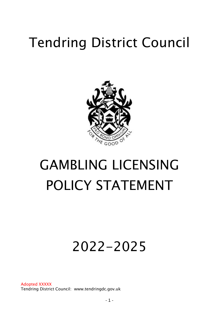# Tendring District Council



# GAMBLING LICENSING POLICY STATEMENT

# 2022-2025

Adopted XXXXX Tendring District Council: www.tendringdc.gov.uk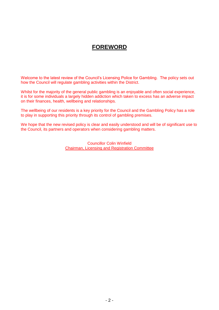# **FOREWORD**

Welcome to the latest review of the Council's Licensing Police for Gambling. The policy sets out how the Council will regulate gambling activities within the District.

Whilst for the majority of the general public gambling is an enjoyable and often social experience, it is for some individuals a largely hidden addiction which taken to excess has an adverse impact on their finances, health, wellbeing and relationships.

The wellbeing of our residents is a key priority for the Council and the Gambling Policy has a role to play in supporting this priority through its control of gambling premises.

We hope that the new revised policy is clear and easily understood and will be of significant use to the Council, its partners and operators when considering gambling matters.

> Councillor Colin Winfield Chairman, Licensing and Registration Committee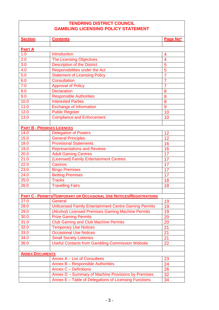### **TENDRING DISTRICT COUNCIL GAMBLING LICENSING POLICY STATEMENT**

| <b>Section</b>         | <b>Contents</b>                                                           | Page No*       |  |  |
|------------------------|---------------------------------------------------------------------------|----------------|--|--|
|                        |                                                                           |                |  |  |
| <b>PARTA</b>           |                                                                           |                |  |  |
| 1.0                    | Introduction                                                              | 4              |  |  |
| 2.0                    | <b>The Licensing Objectives</b>                                           | 4              |  |  |
| 3.0                    | <b>Description of the District</b>                                        | 5              |  |  |
| 4.0                    | Responsibilities under the Act                                            | $\overline{5}$ |  |  |
| 5.0                    | <b>Statement of Licensing Policy</b>                                      | $\overline{7}$ |  |  |
| 6.0                    | <b>Consultation</b>                                                       | $\overline{7}$ |  |  |
| 7.0                    | <b>Approval of Policy</b>                                                 | $\overline{7}$ |  |  |
| 8.0                    | <b>Declaration</b>                                                        | 8              |  |  |
| 9.0                    | <b>Responsible Authorities</b>                                            | 8              |  |  |
| 10.0                   | <b>Interested Parties</b>                                                 | $\overline{8}$ |  |  |
| 11.0                   | <b>Exchange of Information</b>                                            | 9              |  |  |
| 12.0                   | <b>Public Register</b>                                                    | 10             |  |  |
| 13.0                   | <b>Compliance and Enforcement</b>                                         | 10             |  |  |
|                        |                                                                           |                |  |  |
|                        | <b>PART B - PREMISES LICENCES</b>                                         |                |  |  |
| 14.0                   | <b>Delegation of Powers</b>                                               | 12             |  |  |
| 15.0                   | <b>General Principles</b>                                                 | 12             |  |  |
| 18.0                   | <b>Provisional Statements</b>                                             | 16             |  |  |
| 19.0                   | <b>Representations and Reviews</b>                                        | 16             |  |  |
| 20.0                   | <b>Adult Gaming Centres</b>                                               | 17             |  |  |
| 21.0                   | (Licensed) Family Entertainment Centres                                   | 17             |  |  |
| 22.0                   | <b>Casinos</b>                                                            | 17             |  |  |
| 23.0                   | <b>Bingo Premises</b>                                                     | 17             |  |  |
| 24.0                   | <b>Betting Premises</b>                                                   | 17             |  |  |
| 25.0                   | <b>Tracks</b>                                                             | 18             |  |  |
| 26.0                   | <b>Travelling Fairs</b>                                                   | 18             |  |  |
|                        |                                                                           |                |  |  |
|                        | <b>PART C - PERMITS/TEMPORARY OR OCCASIONAL USE NOTICES/REGISTRATIONS</b> |                |  |  |
| 27.0                   | General                                                                   | 19             |  |  |
| 28.0                   | <b>Unlicensed Family Entertainment Centre Gaming Permits</b>              | 19             |  |  |
| 29.0                   | (Alcohol) Licensed Premises Gaming Machine Permits                        | 19             |  |  |
| 30.0                   | <b>Prize Gaming Permits</b>                                               | 20             |  |  |
| 31.0                   | <b>Club Gaming and Club Machine Permits</b>                               | 20             |  |  |
| 32.0                   | <b>Temporary Use Notices</b>                                              | 21             |  |  |
| 33.0                   | <b>Occasional Use Notices</b>                                             | 21             |  |  |
| 34.0                   | <b>Small Society Lotteries</b>                                            | 21             |  |  |
| 36.0                   | <b>Useful Contacts from Gambling Commission Website</b><br>22             |                |  |  |
|                        |                                                                           |                |  |  |
| <b>ANNEX DOCUMENTS</b> |                                                                           |                |  |  |
|                        | Annex A - List of Consultees                                              | <u>23</u>      |  |  |
|                        | Annex B - Responsible Authorities                                         | 24             |  |  |
|                        | <b>Annex C - Definitions</b>                                              | 26             |  |  |
|                        | Annex D - Summary of Machine Provisions by Premises                       | 32             |  |  |
|                        | Annex E - Table of Delegations of Licensing Functions                     | 34             |  |  |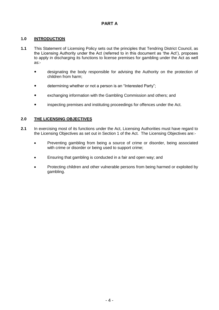# **PART A**

#### **1.0 INTRODUCTION**

- **1.1** This Statement of Licensing Policy sets out the principles that Tendring District Council, as the Licensing Authority under the Act (referred to in this document as 'the Act'), proposes to apply in discharging its functions to license premises for gambling under the Act as well as:
	- designating the body responsible for advising the Authority on the protection of children from harm;
	- **•** determining whether or not a person is an "Interested Party";
	- exchanging information with the Gambling Commission and others; and
	- inspecting premises and instituting proceedings for offences under the Act.

#### **2.0 THE LICENSING OBJECTIVES**

- **2.1** In exercising most of its functions under the Act, Licensing Authorities must have regard to the Licensing Objectives as set out in Section 1 of the Act. The Licensing Objectives are:-
	- Preventing gambling from being a source of crime or disorder, being associated with crime or disorder or being used to support crime;
	- Ensuring that gambling is conducted in a fair and open way; and
	- Protecting children and other vulnerable persons from being harmed or exploited by gambling.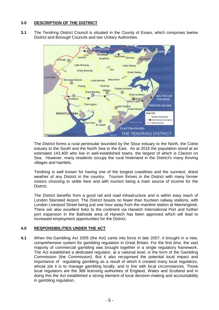#### **3.0 DESCRIPTION OF THE DISTRICT**

**3.1** The Tendring District Council is situated in the County of Essex, which comprises twelve District and Borough Councils and two Unitary Authorities.



The District forms a rural peninsular bounded by the Stour estuary to the North, the Colne estuary to the South and the North Sea to the East. As at 2016 the population stood at an estimated 143,400 who live in well-established towns, the largest of which is Clacton on Sea. However, many residents occupy the rural hinterland in the District's many thriving villages and hamlets.

Tendring is well known for having one of the longest coastlines and the sunniest, driest weather of any District in the country. Tourism thrives in the District with many former visitors choosing to settle here and with tourism being a main source of income for the District.

The District benefits from a good rail and road infrastructure and is within easy reach of London Stansted Airport. The District boasts no fewer than fourteen railway stations, with London Liverpool Street being just one hour away from the mainline station at Manningtree. There are also excellent links to the continent via Harwich International Port and further port expansion in the Bathside area of Harwich has been approved which will lead to increased employment opportunities for the District.

#### **4.0 RESPONSIBILITIES UNDER THE ACT**

**4.1** When the Gambling Act 2005 (the Act) came into force in late 2007, it brought in a new, comprehensive system for gambling regulation in Great Britain. For the first time, the vast majority of commercial gambling was brought together in a single regulatory framework. The Act established a dedicated regulator, at a national level, in the form of the Gambling Commission (the Commission). But it also recognised the potential local impact and importance of regulating gambling as a result of which it created many local regulators, whose job it is to manage gambling locally, and in line with local circumstances. Those local regulators are the 368 licensing authorities of England, Wales and Scotland and in doing this the Act established a strong element of local decision-making and accountability in gambling regulation.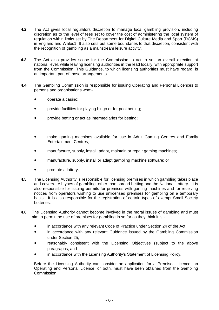- **4.2** The Act gives local regulators discretion to manage local gambling provision, including discretion as to the level of fees set to cover the cost of administering the local system of regulation within limits set by The Department for Digital Culture Media and Sport (DCMS) in England and Wale[s1.](https://www.gamblingcommission.gov.uk/manual/guidance-to-licensing-authorities/part-1-general-guidance-on-the-role-and-responsibilities-of-licensing#ref-1) It also sets out some boundaries to that discretion, consistent with the recognition of gambling as a mainstream leisure activity.
- **4.3** The Act also provides scope for the Commission to act to set an overall direction at national level, while leaving licensing authorities in the lead locally, with appropriate support from the Commission. This Guidance, to which licensing authorities must have regard, is an important part of those arrangements
- **4.4** The Gambling Commission is responsible for issuing Operating and Personal Licences to persons and organisations who:
	- operate a casino;
	- provide facilities for playing bingo or for pool betting;
	- provide betting or act as intermediaries for betting;
	- make gaming machines available for use in Adult Gaming Centres and Family Entertainment Centres;
	- manufacture, supply, install, adapt, maintain or repair gaming machines;
	- manufacture, supply, install or adapt gambling machine software; or
	- promote a lottery.
- **4.5** The Licensing Authority is responsible for licensing premises in which gambling takes place and covers. All types of gambling, other than spread betting and the National Lottery. It is also responsible for issuing permits for premises with gaming machines and for receiving notices from operators wishing to use unlicensed premises for gambling on a temporary basis. It is also responsible for the registration of certain types of exempt Small Society Lotteries.
- **4.6** The Licensing Authority cannot become involved in the moral issues of gambling and must aim to permit the use of premises for gambling in so far as they think it is:-
	- in accordance with any relevant Code of Practice under Section 24 of the Act;
	- in accordance with any relevant Guidance issued by the Gambling Commission under Section 25;
	- reasonably consistent with the Licensing Objectives (subject to the above paragraphs, and
	- in accordance with the Licensing Authority's Statement of Licensing Policy.

Before the Licensing Authority can consider an application for a Premises Licence, an Operating and Personal Licence, or both, must have been obtained from the Gambling Commission.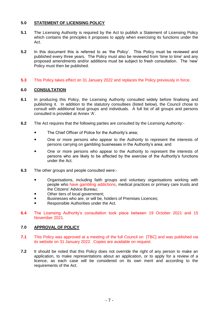#### **5.0 STATEMENT OF LICENSING POLICY**

- **5.1** The Licensing Authority is required by the Act to publish a Statement of Licensing Policy which contains the principles it proposes to apply when exercising its functions under the Act.
- **5.2** In this document this is referred to as 'the Policy'. This Policy must be reviewed and published every three years. The Policy must also be reviewed from 'time to time' and any proposed amendments and/or additions must be subject to fresh consultation. The 'new' Policy must then be published.
- **5.3** This Policy takes effect on 31 January 2022 and replaces the Policy previously in force.

#### **6.0 CONSULTATION**

- **6.1** In producing this Policy, the Licensing Authority consulted widely before finalising and publishing it. In addition to the statutory consultees (listed below), the Council chose to consult with additional local groups and individuals. A full list of all groups and persons consulted is provided at Annex 'A'.
- **6.2** The Act requires that the following parties are consulted by the Licensing Authority:-
	- The Chief Officer of Police for the Authority's area;
	- One or more persons who appear to the Authority to represent the interests of persons carrying on gambling businesses in the Authority's area; and
	- One or more persons who appear to the Authority to represent the interests of persons who are likely to be affected by the exercise of the Authority's functions under the Act.
- **6.3** The other groups and people consulted were:-
	- Organisations, including faith groups and voluntary organisations working with people who have gambling addictions, medical practices or primary care trusts and the Citizens' Advice Bureau;
	- Other tiers of local government;
	- Businesses who are, or will be, holders of Premises Licences;
	- Responsible Authorities under the Act.
- **6.4** The Licensing Authority's consultation took place between 19 October 2021 and 15 November 2021.

#### **7.0 APPROVAL OF POLICY**

- **7.1** This Policy was approved at a meeting of the full Council on [TBC] and was published via its website on 31 January 2022. Copies are available on request.
- **7.2** It should be noted that this Policy does not override the right of any person to make an application, to make representations about an application, or to apply for a review of a licence, as each case will be considered on its own merit and according to the requirements of the Act.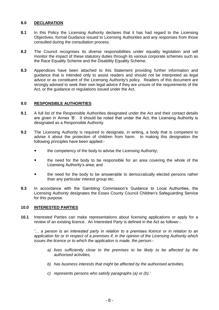#### **8.0 DECLARATION**

- **8.1** In this Policy the Licensing Authority declares that it has had regard to the Licensing Objectives, formal Guidance issued to Licensing Authorities and any responses from those consulted during the consultation process.
- **8.2** The Council recognises its diverse responsibilities under equality legislation and will monitor the impact of these statutory duties through its various corporate schemes such as the Race Equality Scheme and the Disability Equality Scheme.
- **8.3** Appendices have been attached to this Statement providing further information and guidance that is intended only to assist readers and should not be interpreted as legal advice or as constituent of the Licensing Authority's policy. Readers of this document are strongly advised to seek their own legal advice if they are unsure of the requirements of the Act, or the guidance or regulations issued under the Act.

#### **9.0 RESPONSIBLE AUTHORITIES**

- **9.1** A full list of the Responsible Authorities designated under the Act and their contact details are given in Annex 'B'. It should be noted that under the Act, the Licensing Authority is designated as a Responsible Authority.
- **9.2** The Licensing Authority is required to designate, in writing, a body that is competent to advise it about the protection of children from harm. In making this designation the following principles have been applied:
	- the competency of the body to advise the Licensing Authority;
	- the need for the body to be responsible for an area covering the whole of the Licensing Authority's area; and
	- the need for the body to be answerable to democratically elected persons rather than any particular interest group etc.
- **9.3** In accordance with the Gambling Commission's Guidance to Local Authorities, the Licensing Authority designates the Essex County Council Children's Safeguarding Service for this purpose.

#### **10.0 INTERESTED PARTIES**

**10.1** Interested Parties can make representations about licensing applications or apply for a review of an existing licence. An Interested Party is defined in the Act as follows:-

*'… a person is an interested party in relation to a premises licence or in relation to an application for or in respect of a premises if, in the opinion of the Licensing Authority which issues the licence or to which the application is made, the person:-*

- *a) lives sufficiently close to the premises to be likely to be affected by the authorised activities,*
- *b) has business interests that might be affected by the authorised activities,*
- *c) represents persons who satisfy paragraphs (a) or (b).'*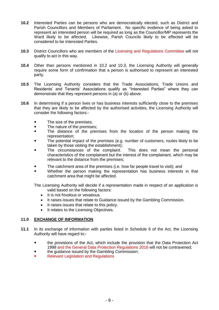- **10.2** Interested Parties can be persons who are democratically elected, such as District and Parish Councillors and Members of Parliament. No specific evidence of being asked to represent an interested person will be required as long as the Councillor/MP represents the Ward likely to be affected. Likewise, Parish Councils likely to be affected will be considered to be Interested Parties.
- **10.3** District Councillors who are members of the Licensing and Regulations Committee will not qualify to act in this way.
- **10.4** Other than persons mentioned in 10.2 and 10.3, the Licensing Authority will generally require some form of confirmation that a person is authorised to represent an interested party.
- **10.5** The Licensing Authority considers that the Trade Associations, Trade Unions and Residents' and Tenants' Associations qualify as "Interested Parties" where they can demonstrate that they represent persons in (a) or (b) above.
- **10.6** In determining if a person lives or has business interests sufficiently close to the premises that they are likely to be affected by the authorised activities, the Licensing Authority will consider the following factors:-
	- The size of the premises;
	- The nature of the premises;
	- The distance of the premises from the location of the person making the representation;
	- The potential impact of the premises (e.g. number of customers, routes likely to be taken by those visiting the establishment);
	- The circumstances of the complaint. This does not mean the personal characteristics of the complainant but the interest of the complainant, which may be relevant to the distance from the premises;
	- The catchment area of the premises (i.e. how far people travel to visit); and
	- Whether the person making the representation has business interests in that catchment area that might be affected.

The Licensing Authority will decide if a representation made in respect of an application is valid based on the following factors:

- It is not frivolous or vexatious.
- It raises issues that relate to Guidance issued by the Gambling Commission.
- It raises issues that relate to this policy.
- It relates to the Licensing Objectives.

#### **11.0 EXCHANGE OF INFORMATION**

- **11.1** In its exchange of information with parties listed in Schedule 6 of the Act, the Licensing Authority will have regard to:
	- the provisions of the Act, which include the provision that the Data Protection Act 1998 and the General Data Protection Regulations 2016 will not be contravened;
	- the guidance issued by the Gambling Commission;
	- Relevant Legislation and Regulations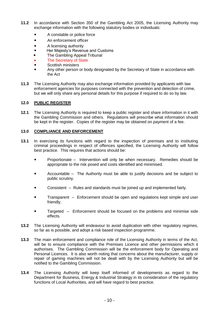- **11.2** In accordance with Section 350 of the Gambling Act 2005, the Licensing Authority may exchange information with the following statutory bodies or individuals:
	- A constable or police force
	- An enforcement officer
	- A licensing authority
	- Her Majesty's Revenue and Customs
	- The Gambling Appeal Tribunal
	- The Secretary of State
	- Scottish ministers
	- Any other person or body designated by the Secretary of State in accordance with the Act
- **11.3** The Licensing Authority may also exchange information provided by applicants with law enforcement agencies for purposes connected with the prevention and detection of crime, but we will only share any personal details for this purpose if required to do so by law.

#### **12.0 PUBLIC REGISTER**

**12.1** The Licensing Authority is required to keep a public register and share information in it with the Gambling Commission and others. Regulations will prescribe what information should be kept in the register. Copies of the register may be obtained on payment of a fee.

#### **13.0 COMPLIANCE AND ENFORCEMENT**

- **13.1** In exercising its functions with regard to the inspection of premises and to instituting criminal proceedings in respect of offences specified, the Licensing Authority will follow best practice. This requires that actions should be:
	- Proportionate Intervention will only be when necessary. Remedies should be appropriate to the risk posed and costs identified and minimised.
	- Accountable The Authority must be able to justify decisions and be subject to public scrutiny.
	- Consistent Rules and standards must be joined up and implemented fairly.
	- Transparent Enforcement should be open and regulations kept simple and user friendly.
	- Targeted Enforcement should be focused on the problems and minimise side effects.
- **13.2** The Licensing Authority will endeavour to avoid duplication with other regulatory regimes, so far as is possible, and adopt a risk based inspection programme.
- **13.3** The main enforcement and compliance role of the Licensing Authority in terms of the Act, will be to ensure compliance with the Premises Licence and other permissions which it authorises. The Gambling Commission will be the enforcement body for Operating and Personal Licences. It is also worth noting that concerns about the manufacturer, supply or repair of gaming machines will not be dealt with by the Licensing Authority but will be notified to the Gambling Commission.
- **13.4** The Licensing Authority will keep itself informed of developments as regard to the Department for Business, Energy & Industrial Strategy in its consideration of the regulatory functions of Local Authorities, and will have regard to best practice.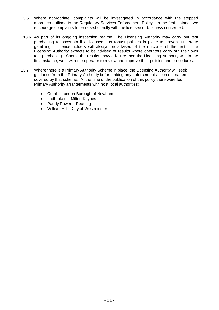- **13.5** Where appropriate, complaints will be investigated in accordance with the stepped approach outlined in the Regulatory Services Enforcement Policy. In the first instance we encourage complaints to be raised directly with the licensee or business concerned.
- **13.6** As part of its ongoing inspection regime, The Licensing Authority may carry out test purchasing to ascertain if a licensee has robust policies in place to prevent underage gambling. Licence holders will always be advised of the outcome of the test. The Licensing Authority expects to be advised of results where operators carry out their own test purchasing. Should the results show a failure then the Licensing Authority will, in the first instance, work with the operator to review and improve their policies and procedures.
- **13.7** Where there is a Primary Authority Scheme in place, the Licensing Authority will seek guidance from the Primary Authority before taking any enforcement action on matters covered by that scheme. At the time of the publication of this policy there were four Primary Authority arrangements with host local authorities:
	- Coral London Borough of Newham
	- Ladbrokes Milton Keynes
	- Paddy Power Reading
	- William Hill City of Westminster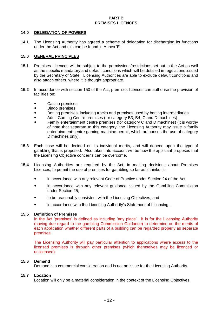#### **PART B PREMISES LICENCES**

#### **14.0 DELEGATION OF POWERS**

**14.1** The Licensing Authority has agreed a scheme of delegation for discharging its functions under the Act and this can be found in Annex 'E'.

#### **15.0 GENERAL PRINCIPLES**

- **15.1** Premises Licences will be subject to the permissions/restrictions set out in the Act as well as the specific mandatory and default conditions which will be detailed in regulations issued by the Secretary of State. Licensing Authorities are able to exclude default conditions and also attach others, where it is thought appropriate.
- **15.2** In accordance with section 150 of the Act, premises licences can authorise the provision of facilities on:
	- Casino premises
	- Bingo premises
	- Betting premises, including tracks and premises used by betting intermediaries
	- Adult Gaming Centre premises (for category B3, B4, C and D machines)
	- Family entertainment centre premises (for category C and D machines) (it is worthy of note that separate to this category, the Licensing Authority may issue a family entertainment centre gaming machine permit, which authorises the use of category D machines only).
- **15.3** Each case will be decided on its individual merits, and will depend upon the type of gambling that is proposed. Also taken into account will be how the applicant proposes that the Licensing Objective concerns can be overcome.
- **15.4** Licensing Authorities are required by the Act, in making decisions about Premises Licences, to permit the use of premises for gambling so far as it thinks fit:
	- in accordance with any relevant Code of Practice under Section 24 of the Act;
	- in accordance with any relevant guidance issued by the Gambling Commission under Section 25;
	- to be reasonably consistent with the Licensing Objectives; and
	- in accordance with the Licensing Authority's Statement of Licensing..

#### **15.5 Definition of Premises**

In the Act 'premises' is defined as including 'any place'. It is for the Licensing Authority (having due regard to the gambling Commission Guidance) to determine on the merits of each application whether different parts of a building can be regarded properly as separate premises.

The Licensing Authority will pay particular attention to applications where access to the licensed premises is through other premises (which themselves may be licenced or unlicensed).

#### **15.6 Demand**

Demand is a commercial consideration and is not an issue for the Licensing Authority.

#### **15.7 Location**

Location will only be a material consideration in the context of the Licensing Objectives.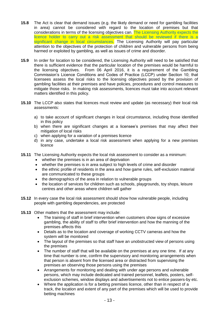- **15.8** The Act is clear that demand issues (e.g. the likely demand or need for gambling facilities in area) cannot be considered with regard to the location of premises but that considerations in terms of the licensing objectives can. The Licensing Authority expects the licence holder to carry out a risk assessment that should be reviewed if there is a significant change in local circumstances. The Licensing Authority will pay particular attention to the objectives of the protection of children and vulnerable persons from being harmed or exploited by gambling, as well as issues of crime and disorder.
- **15.9** In order for location to be considered, the Licensing Authority will need to be satisfied that there is sufficient evidence that the particular location of the premises would be harmful to the licensing objectives. From 06 April 2016, it is a requirement of the Gambling Commission's Licence Conditions and Codes of Practice (LCCP) under Section 10; that licensees assess the local risks to the licensing objectives posed by the provision of gambling facilities at their premises and have policies, procedures and control measures to mitigate those risks. In making risk assessments, licences must take into account relevant matters identified in this policy.
- **15.10** The LCCP also states that licences must review and update (as necessary) their local risk assessments:
	- a) to take account of significant changes in local circumstance, including those identified in this policy
	- b) when there are significant changes at a licensee's premises that may affect their mitigation of local risks
	- c) when applying for a variation of a premises licence
	- d) in any case, undertake a local risk assessment when applying for a new premises licence
- **15.11** The Licensing Authority expects the local risk assessment to consider as a minimum:
	- whether the premises is in an area of deprivation
	- whether the premises is in area subject to high levels of crime and disorder
	- the ethnic profile of residents in the area and how game rules, self-exclusion material are communicated to these groups
	- the demographics of the area in relation to vulnerable groups
	- the location of services for children such as schools, playgrounds, toy shops, leisure centres and other areas where children will gather
- **15.12** In every case the local risk assessment should show how vulnerable people, including people with gambling dependencies, are protected
- **15.13** Other matters that the assessment may include:
	- The training of staff in brief intervention when customers show signs of excessive gambling, the ability of staff to offer brief intervention and how the manning of the premises affects this
	- Details as to the location and coverage of working CCTV cameras and how the system will be monitored
	- The layout of the premises so that staff have an unobstructed view of persons using the premises
	- The number of staff that will be available on the premises at any one time. If at any time that number is one, confirm the supervisory and monitoring arrangements when that person is absent from the licensed area or distracted from supervising the premises an observing those persons using the premises
	- Arrangements for monitoring and dealing with under age persons and vulnerable persons, which may include dedicated and trained personnel, leaflets, posters, selfexclusion schemes, window displays and advertisements not to entice passers-by etc.
	- Where the application is for a betting premises licence, other than in respect of a track, the location and extent of any part of the premises which will be used to provide betting machines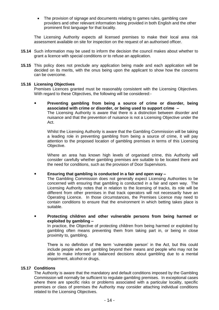• The provision of signage and documents relating to games rules, gambling care providers and other relevant information being provided in both English and the other prominent first language for that locality.

The Licensing Authority expects all licensed premises to make their local area risk assessment available on site for inspection on the request of an authorised officer.

- **15.14** Such information may be used to inform the decision the council makes about whether to grant a licence with special conditions or to refuse an application.
- **15.15** This policy does not preclude any application being made and each application will be decided on its merits, with the onus being upon the applicant to show how the concerns can be overcome.

#### **15.16 Licensing Objectives**

Premises Licences granted must be reasonably consistent with the Licensing Objectives. With regard to these Objectives, the following will be considered:-

 **Preventing gambling from being a source of crime or disorder, being associated with crime or disorder, or being used to support crime –** The Licensing Authority is aware that there is a distinction between disorder and nuisance and that the prevention of nuisance is not a Licensing Objective under the Act.

Whilst the Licensing Authority is aware that the Gambling Commission will be taking a leading role in preventing gambling from being a source of crime, it will pay attention to the proposed location of gambling premises in terms of this Licensing Objective.

Where an area has known high levels of organised crime, this Authority will consider carefully whether gambling premises are suitable to be located there and the need for conditions, such as the provision of Door Supervisors.

**Ensuring that gambling is conducted in a fair and open way –**

The Gambling Commission does not generally expect Licensing Authorities to be concerned with ensuring that gambling is conducted in a fair and open way. The Licensing Authority notes that in relation to the licensing of tracks, its role will be different from other premises in that track operators will not necessarily have an Operating Licence. In those circumstances, the Premises Licence may need to contain conditions to ensure that the environment in which betting takes place is suitable.

 **Protecting children and other vulnerable persons from being harmed or exploited by gambling –**

In practice, the Objective of protecting children from being harmed or exploited by gambling often means preventing them from taking part in, or being in close proximity to, gambling.

There is no definition of the term 'vulnerable person' in the Act, but this could include people who are gambling beyond their means and people who may not be able to make informed or balanced decisions about gambling due to a mental impairment, alcohol or drugs.

#### **15.17 Conditions**

The Authority is aware that the mandatory and default conditions imposed by the Gambling Commission will normally be sufficient to regulate gambling premises. In exceptional cases where there are specific risks or problems associated with a particular locality, specific premises or class of premises the Authority may consider attaching individual conditions related to the Licensing Objectives.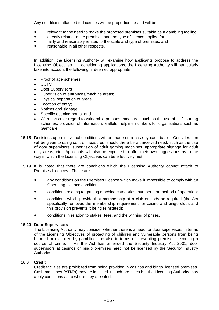Any conditions attached to Licences will be proportionate and will be:-

- relevant to the need to make the proposed premises suitable as a gambling facility;
- directly related to the premises and the type of licence applied for;
- fairly and reasonably related to the scale and type of premises; and
- reasonable in all other respects.

In addition, the Licensing Authority will examine how applicants propose to address the Licensing Objectives. In considering applications, the Licensing Authority will particularly take into account the following, if deemed appropriate:-

- Proof of age schemes
- CCTV
- Door Supervisors
- Supervision of entrances/machine areas;
- Physical separation of areas;
- Location of entry;
- Notices and signage;
- Specific opening hours; and
- With particular regard to vulnerable persons, measures such as the use of self- barring schemes, provision of information, leaflets, helpline numbers for organisations such as Gamcare.
- **15.18** Decisions upon individual conditions will be made on a case-by-case basis. Consideration will be given to using control measures, should there be a perceived need, such as the use of door supervisors, supervision of adult gaming machines, appropriate signage for adult only areas, etc. Applicants will also be expected to offer their own suggestions as to the way in which the Licensing Objectives can be effectively met.
- **15.19** It is noted that there are conditions which the Licensing Authority cannot attach to Premises Licences. These are:
	- any conditions on the Premises Licence which make it impossible to comply with an Operating Licence condition;
	- conditions relating to gaming machine categories, numbers, or method of operation;
	- conditions which provide that membership of a club or body be required (the Act specifically removes the membership requirement for casino and bingo clubs and this provision prevents it being reinstated);
	- conditions in relation to stakes, fees, and the winning of prizes.

#### **15.20 Door Supervisors**

The Licensing Authority may consider whether there is a need for door supervisors in terms of the Licensing Objectives of protecting of children and vulnerable persons from being harmed or exploited by gambling and also in terms of preventing premises becoming a source of crime. As the Act has amended the Security Industry Act 2001, door supervisors at casinos or bingo premises need not be licensed by the Security Industry Authority.

#### **16.0 Credit**

Credit facilities are prohibited from being provided in casinos and bingo licensed premises. Cash machines (ATM's) may be installed in such premises but the Licensing Authority may apply conditions as to where they are sited.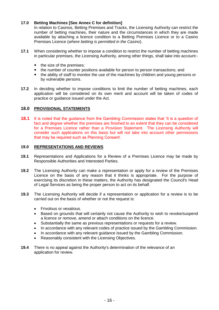#### **17.0 Betting Machines [See Annex C for definition]**

In relation to Casinos, Betting Premises and Tracks, the Licensing Authority can restrict the number of betting machines, their nature and the circumstances in which they are made available by attaching a licence condition to a Betting Premises Licence or to a Casino Premises Licence (*where betting is permitted in the Casino*).

- **17.1** When considering whether to impose a condition to restrict the number of betting machines in particular premises, the Licensing Authority, among other things, shall take into account:
	- the size of the premises;
	- the number of counter positions available for person to person transactions; and
	- the ability of staff to monitor the use of the machines by children and young persons or by vulnerable persons.
- **17.2** In deciding whether to impose conditions to limit the number of betting machines, each application will be considered on its own merit and account will be taken of codes of practice or guidance issued under the Act.

#### **18.0 PROVISIONAL STATEMENTS**

**18.1** It is noted that the guidance from the Gambling Commission states that 'It is a question of fact and degree whether the premises are finished to an extent that they can be considered for a Premises Licence rather than a Provision Statement. The Licensing Authority will consider such applications on this basis but will not take into account other permissions that may be required such as Planning Consent'.

#### **19.0 REPRESENTATIONS AND REVIEWS**

- **19.1** Representations and Applications for a Review of a Premises Licence may be made by Responsible Authorities and Interested Parties.
- **19.2** The Licensing Authority can make a representation or apply for a review of the Premises Licence on the basis of any reason that it thinks is appropriate. For the purpose of exercising its discretion in these matters, the Authority has designated the Council's Head of Legal Services as being the proper person to act on its behalf.
- **19.3** The Licensing Authority will decide if a representation or application for a review is to be carried out on the basis of whether or not the request is:
	- Frivolous or vexatious.
	- Based on grounds that will certainly not cause the Authority to wish to revoke/suspend a licence or remove, amend or attach conditions on the licence.
	- Substantially the same as previous representations or requests for a review.
	- In accordance with any relevant codes of practice issued by the Gambling Commission.
	- In accordance with any relevant guidance issued by the Gambling Commission.
	- Reasonably consistent with the Licensing Objectives.
- **19.4** There is no appeal against the Authority's determination of the relevance of an application for review.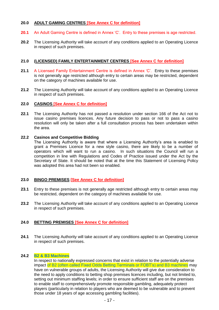#### **20.0 ADULT GAMING CENTRES [See Annex C for definition]**

- **20.1** An Adult Gaming Centre is defined in Annex 'C'. Entry to these premises is age restricted.
- **20.2** The Licensing Authority will take account of any conditions applied to an Operating Licence in respect of such premises.

#### **21.0 (LICENSED) FAMILY ENTERTAINMENT CENTRES [See Annex C for definition]**

- **21.1** A Licensed Family Entertainment Centre is defined in Annex 'C'. Entry to these premises is not generally age restricted although entry to certain areas may be restricted, dependent on the category of machines available for use.
- **21.2** The Licensing Authority will take account of any conditions applied to an Operating Licence in respect of such premises.

#### **22.0 CASINOS [See Annex C for definition]**

**22.1** The Licensing Authority has not passed a resolution under section 166 of the Act not to issue casino premises licences. Any future decision to pass or not to pass a casino resolution will only be taken after a full consultation process has been undertaken within the area.

#### **22.2 Casinos and Competitive Bidding**

The Licensing Authority is aware that where a Licensing Authority's area is enabled to grant a Premises Licence for a new style casino, there are likely to be a number of operators which will want to run a casino. In such situations the Council will run a competition in line with Regulations and Codes of Practice issued under the Act by the Secretary of State. It should be noted that at the time this Statement of Licensing Policy was adopted this area had not been so enabled.

#### **23.0 BINGO PREMISES [See Annex C for definition]**

- **23.1** Entry to these premises is not generally age restricted although entry to certain areas may be restricted, dependent on the category of machines available for use.
- **23.2** The Licensing Authority will take account of any conditions applied to an Operating Licence in respect of such premises.

#### **24.0 BETTING PREMISES [See Annex C for definition]**

**24.1** The Licensing Authority will take account of any conditions applied to an Operating Licence in respect of such premises.

#### **24.2 B2 & B3 Machines**

In respect to nationally expressed concerns that exist in relation to the potentially adverse impact of B2 (often called Fixed Odds Betting Terminals or FOBT's) and B3 machines may have on vulnerable groups of adults, the Licensing Authority will give due consideration to the need to apply conditions to betting shop premises licences including, but not limited to, setting out minimum staffing levels; in order to ensure sufficient staff are on the premises to enable staff to comprehensively promote responsible gambling, adequately protect players (particularly in relation to players who are deemed to be vulnerable and to prevent those under 18 years of age accessing gambling facilities).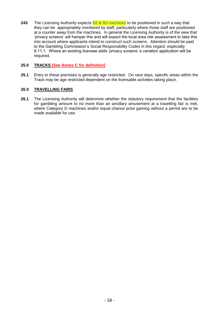**243** The Licensing Authority expects B2 & B3 machines to be positioned in such a way that they can be appropriately monitored by staff, particularly where those staff are positioned at a counter away from the machines. In general the Licensing Authority is of the view that 'privacy screens' will hamper this and will expect the local area risk assessment to take this into account where applicants intend to construct such screens. Attention should be paid to the Gambling Commission's Social Responsibility Codes in this regard, especially 9.11.1. Where an existing licensee adds 'privacy screens' a variation application will be required.

#### **25.0 TRACKS [See Annex C for definition]**

**25.1** Entry to these premises is generally age restricted. On race days, specific areas within the Track may be age restricted dependent on the licensable activities taking place.

#### **26.0 TRAVELLING FAIRS**

**26.1** The Licensing Authority will determine whether the statutory requirement that the facilities for gambling amount to no more than an ancillary amusement at a travelling fair is met, where Category D machines and/or equal chance prize gaming without a permit are to be made available for use.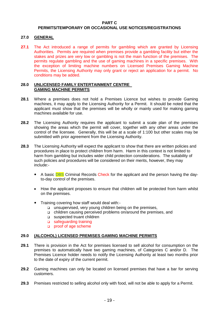#### **PART C**

#### **PERMITS/TEMPORARY OR OCCASIONAL USE NOTICES/REGISTRATIONS**

#### **27.0 GENERAL**

**27.1** The Act introduced a range of permits for gambling which are granted by Licensing Authorities. Permits are required when premises provide a gambling facility but either the stakes and prizes are very low or gambling is not the main function of the premises. The permits regulate gambling and the use of gaming machines in a specific premises. With the exception of limiting machine numbers on Licensed Premises Gaming Machine Permits, the Licensing Authority may only grant or reject an application for a permit. No conditions may be added.

#### **28.0 UNLICENSED FAMILY ENTERTAINMENT CENTRE GAMING MACHINE PERMITS**

- **28.1** Where a premises does not hold a Premises Licence but wishes to provide Gaming machines, it may apply to the Licensing Authority for a Permit. It should be noted that the applicant must show that the premises will be wholly or mainly used for making gaming machines available for use.
- **28.2** The Licensing Authority requires the applicant to submit a scale plan of the premises showing the areas which the permit will cover, together with any other areas under the control of the licensee. Generally, this will be at a scale of 1:100 but other scales may be submitted with prior agreement from the Licensing Authority.
- **28.3** The Licensing Authority will expect the applicant to show that there are written policies and procedures in place to protect children from harm. Harm in this context is not limited to harm from gambling but includes wider child protection considerations. The suitability of such policies and procedures will be considered on their merits, however, they may include:-
	- A basic **DBS** Criminal Records Check for the applicant and the person having the dayto-day control of the premises.
	- How the applicant proposes to ensure that children will be protected from harm whilst on the premises.
	- Training covering how staff would deal with:
		- unsupervised, very young children being on the premises,
		- children causing perceived problems on/around the premises, and
		- suspected truant children
		- safeguarding training
		- proof of age scheme

#### **29.0 (ALCOHOL) LICENSED PREMISES GAMING MACHINE PERMITS**

- **29.1** There is provision in the Act for premises licensed to sell alcohol for consumption on the premises to automatically have two gaming machines, of Categories C and/or D. The Premises Licence holder needs to notify the Licensing Authority at least two months prior to the date of expiry of the current permit.
- **29.2** Gaming machines can only be located on licensed premises that have a bar for serving customers.
- **29.3** Premises restricted to selling alcohol only with food, will not be able to apply for a Permit.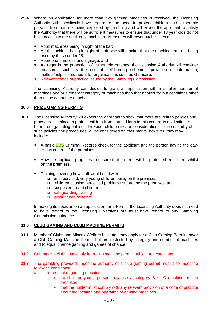- **29.4** Where an application for more than two gaming machines is received, the Licensing Authority will specifically have regard to the need to protect children and vulnerable persons from harm or being exploited by gambling and will expect the applicant to satisfy the Authority that there will be sufficient measures to ensure that under 18 year olds do not have access to the adult only machines. Measures will cover such issues as:-
	- Adult machines being in sight of the bar;
	- Adult machines being in sight of staff who will monitor that the machines are not being used by those under 18;
	- Appropriate notices and signage; and
	- As regards the protection of vulnerable persons, the Licensing Authority will consider measures such as the use of self-barring schemes, provision of information, leaflets/help line numbers for organisations such as Gamcare.
	- Relevant codes of practice issued by the Gambling Commission

The Licensing Authority can decide to grant an application with a smaller number of machines and/or a different category of machines than that applied for but conditions other than these cannot be attached.

#### **30.0 PRIZE GAMING PERMITS**

- **30.1** The Licensing Authority will expect the applicant to show that there are written policies and procedures in place to protect children from harm. Harm in this context is not limited to harm from gambling but includes wider child protection considerations. The suitability of such policies and procedures will be considered on their merits, however, they may include:-
	- A basic **DBS** Criminal Records check for the applicant and the person having the dayto-day control of the premises.
	- How the applicant proposes to ensure that children will be protected from harm whilst on the premises.
	- Training covering how staff would deal with:
		- unsupervised, very young children being on the premises,
		- children causing perceived problems on/around the premises, and
		- □ suspected truant children
		- □ safeguarding training
		- proof of age scheme

In making its decision on an application for a Permit, the Licensing Authority does not need to have regard to the Licensing Objectives but must have regard to any Gambling Commission guidance.

#### **31.0 CLUB GAMING AND CLUB MACHINE PERMITS**

- **31.1** Members' Clubs and Miners' Welfare Institutes may apply for a Club Gaming Permit and/or a Club Gaming Machine Permit, but are restricted by category and number of machines and to equal chance gaming and games of chance.
- **31.2** Commercial clubs may apply for a club machine permit, subject to restrictions.
- **31.3** The gambling provided under the authority of a club gaming permit must also meet the following conditions:
	- a. in respect of gaming machines
		- no child or young person may use a category B or C machine on the premises
		- that the holder must comply with any relevant provision of a code of practice about the location and operation of gaming machines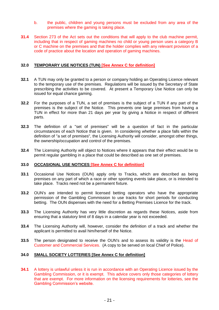- b. the public, children and young persons must be excluded from any area of the premises where the gaming is taking place.
- **31.4** Section 273 of the Act sets out the conditions that will apply to the club machine permit, including that in respect of gaming machines no child or young person uses a category B or C machine on the premises and that the holder complies with any relevant provision of a code of practice about the location and operation of gaming machines.

#### **32.0 TEMPORARY USE NOTICES (TUN) [See Annex C for definition]**

- **32.1** A TUN may only be granted to a person or company holding an Operating Licence relevant to the temporary use of the premises. Regulations will be issued by the Secretary of State prescribing the activities to be covered. At present a Temporary Use Notice can only be issued for equal chance gaming.
- **32.2** For the purposes of a TUN, a set of premises is the subject of a TUN if any part of the premises is the subject of the Notice. This prevents one large premises from having a TUN in effect for more than 21 days per year by giving a Notice in respect of different parts.
- **32.3** The definition of a "set of premises" will be a question of fact in the particular circumstances of each Notice that is given. In considering whether a place falls within the definition of "a set of premises", the Licensing Authority will consider, amongst other things, the ownership/occupation and control of the premises.
- **32.4** The Licensing Authority will object to Notices where it appears that their effect would be to permit regular gambling in a place that could be described as one set of premises.

#### **33.0 OCCASIONAL USE NOTICES [See Annex C for definition]**

- **33.1** Occasional Use Notices (OUN) apply only to Tracks, which are described as being premises on any part of which a race or other sporting events take place, or is intended to take place. Tracks need not be a permanent fixture.
- **33.2** OUN's are intended to permit licensed betting operators who have the appropriate permission of the Gambling Commission to use tracks for short periods for conducting betting. The OUN dispenses with the need for a Betting Premises Licence for the track.
- **33.3** The Licensing Authority has very little discretion as regards these Notices, aside from ensuring that a statutory limit of 8 days in a calendar year is not exceeded.
- **33.4** The Licensing Authority will, however, consider the definition of a track and whether the applicant is permitted to avail him/herself of the Notice.
- **33.5** The person designated to receive the OUN's and to assess its validity is the Head of Customer and Commercial Services. (A copy to be served on local Chief of Police).

#### **34.0 SMALL SOCIETY LOTTERIES [See Annex C for definition]**

**34.1** A lottery is unlawful unless it is run in accordance with an Operating Licence issued by the Gambling Commission, or it is exempt. This advice covers only those categories of lottery that are exempt. For more information on the licensing requirements for lotteries, see the Gambling Commission's website.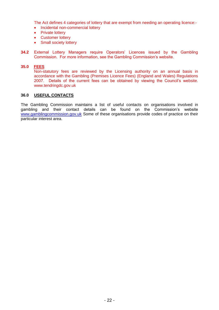The Act defines 4 categories of lottery that are exempt from needing an operating licence:-

- Incidental non-commercial lottery
- Private lottery
- Customer lottery
- Small society lottery
- **34.2** External Lottery Managers require Operators' Licences issued by the Gambling Commission. For more information, see the Gambling Commission's website.

#### **35.0 FEES**

Non-statutory fees are reviewed by the Licensing authority on an annual basis in accordance with the Gambling (Premises Licence Fees) (England and Wales) Regulations 2007. Details of the current fees can be obtained by viewing the Council's website. www.tendringdc.gov.uk

#### **36.0 USEFUL CONTACTS**

The Gambling Commission maintains a list of useful contacts on organisations involved in gambling and their contact details can be found on the Commission's website [www.gamblingcommission.gov.uk](http://www.gamblingcommission.gov.uk/) Some of these organisations provide codes of practice on their particular interest area.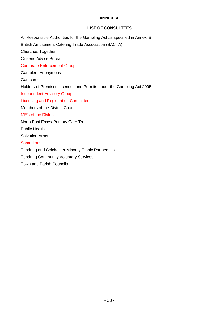#### **ANNEX 'A'**

#### **LIST OF CONSULTEES**

All Responsible Authorities for the Gambling Act as specified in Annex 'B'

British Amusement Catering Trade Association (BACTA)

Churches Together

Citizens Advice Bureau

Corporate Enforcement Group

Gamblers Anonymous

Gamcare

Holders of Premises Licences and Permits under the Gambling Act 2005

Independent Advisory Group

Licensing and Registration Committee

Members of the District Council

MP's of the District

North East Essex Primary Care Trust

Public Health

Salvation Army

**Samaritans** 

Tendring and Colchester Minority Ethnic Partnership

Tendring Community Voluntary Services

Town and Parish Councils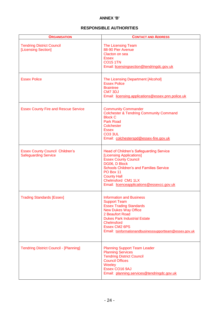#### **ANNEX 'B'**

#### **RESPONSIBLE AUTHORITIES**

| <b>ORGANISATION</b>                                                   | <b>CONTACT AND ADDRESS</b>                                                                                                                                                                                                                                                                |
|-----------------------------------------------------------------------|-------------------------------------------------------------------------------------------------------------------------------------------------------------------------------------------------------------------------------------------------------------------------------------------|
| <b>Tendring District Council</b><br>[Licensing Section]               | The Licensing Team<br>88-90 Pier Avenue<br>Clacton on sea<br><b>Essex</b><br><b>CO15 1TN</b><br>Email: licensingsection@tendringdc.gov.uk                                                                                                                                                 |
| <b>Essex Police</b>                                                   | The Licensing Department [Alcohol]<br><b>Essex Police</b><br><b>Braintree</b><br>CM7 3DJ<br>Email: licensing.applications@essex.pnn.police.uk                                                                                                                                             |
| <b>Essex County Fire and Rescue Service</b>                           | <b>Community Commander</b><br><b>Colchester &amp; Tendring Community Command</b><br><b>Block C</b><br><b>Park Road</b><br>Colchester<br><b>Essex</b><br><b>CO3 3UL</b><br>Email: colchesterspd@essex-fire.gov.uk                                                                          |
| <b>Essex County Council Children's</b><br><b>Safeguarding Service</b> | Head of Children's Safeguarding Service<br>[Licensing Applications]<br><b>Essex County Council</b><br>DG06, D Block<br><b>Schools Children's and Families Service</b><br>PO Box 11<br><b>County Hall</b><br>Chelmsford CM1 1LX<br>Email: licenceapplications@essexcc.gov.uk               |
| <b>Trading Standards [Essex]</b>                                      | <b>Information and Business</b><br><b>Support Team</b><br><b>Essex Trading Standards</b><br><b>New Dukes Way Office</b><br>2 Beaufort Road<br><b>Dukes Park Industrial Estate</b><br><b>Chelmsford</b><br><b>Essex CM2 6PS</b><br>Email: tsinformationandbusinesssupportteam@essex.gov.uk |
| <b>Tendring District Council - [Planning]</b>                         | <b>Planning Support Team Leader</b><br><b>Planning Services</b><br><b>Tendring District Council</b><br><b>Council Offices</b><br>Weeley<br>Essex CO16 9AJ<br>Email: planning.services@tendringdc.gov.uk                                                                                   |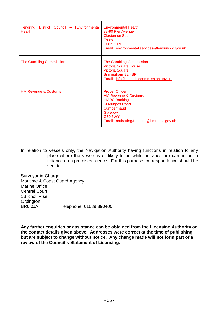| Tendring District Council - [Environmental<br>Health] | <b>Environmental Health</b><br>88-90 Pier Avenue<br>Clacton on Sea<br><b>Essex</b><br><b>CO15 1TN</b><br>Email: environmental.services@tendringdc.gov.uk                                        |
|-------------------------------------------------------|-------------------------------------------------------------------------------------------------------------------------------------------------------------------------------------------------|
| <b>The Gambling Commission</b>                        | The Gambling Commission<br><b>Victoria Square House</b><br><b>Victoria Square</b><br>Birmingham B2 4BP<br>Email: info@gamblingcommission.gov.uk                                                 |
| <b>HM Revenue &amp; Customs</b>                       | <b>Proper Officer</b><br><b>HM Revenue &amp; Customs</b><br><b>HMRC Banking</b><br><b>St Mungos Road</b><br>Cumbermaud<br>Glasgow<br><b>G70 5WY</b><br>Email: nrubetting&gaming@hmrc.gsi.gov.uk |

In relation to vessels only, the Navigation Authority having functions in relation to any place where the vessel is or likely to be while activities are carried on in reliance on a premises licence. For this purpose, correspondence should be sent to:

Surveyor-in-Charge Maritime & Coast Guard Agency Marine Office Central Court 1B Knoll Rise **Orpington** BR6 0JA Telephone: 01689 890400

**Any further enquiries or assistance can be obtained from the Licensing Authority on the contact details given above. Addresses were correct at the time of publishing but are subject to change without notice. Any change made will not form part of a review of the Council's Statement of Licensing.**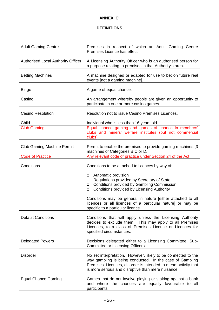#### **ANNEX 'C'**

# **DEFINITIONS**

| <b>Adult Gaming Centre</b>         | Premises in respect of which an Adult Gaming Centre<br>Premises Licence has effect.                                                                                                                                                               |  |  |
|------------------------------------|---------------------------------------------------------------------------------------------------------------------------------------------------------------------------------------------------------------------------------------------------|--|--|
| Authorised Local Authority Officer | A Licensing Authority Officer who is an authorised person for<br>a purpose relating to premises in that Authority's area.                                                                                                                         |  |  |
| <b>Betting Machines</b>            | A machine designed or adapted for use to bet on future real<br>events [not a gaming machine].                                                                                                                                                     |  |  |
| <b>Bingo</b>                       | A game of equal chance.                                                                                                                                                                                                                           |  |  |
| Casino                             | An arrangement whereby people are given an opportunity to<br>participate in one or more casino games.                                                                                                                                             |  |  |
| <b>Casino Resolution</b>           | Resolution not to issue Casino Premises Licences.                                                                                                                                                                                                 |  |  |
| Child                              | Individual who is less than 16 years old.                                                                                                                                                                                                         |  |  |
| <b>Club Gaming</b>                 | Equal chance gaming and games of chance in members'<br>clubs and miners' welfare institutes (but not commercial<br>clubs).                                                                                                                        |  |  |
| <b>Club Gaming Machine Permit</b>  | Permit to enable the premises to provide gaming machines [3]<br>machines of Categories B,C or D.                                                                                                                                                  |  |  |
| <b>Code of Practice</b>            | Any relevant code of practice under Section 24 of the Act                                                                                                                                                                                         |  |  |
| Conditions                         | Conditions to be attached to licences by way of:-<br>Automatic provision<br>□<br>Regulations provided by Secretary of State<br>□<br>Conditions provided by Gambling Commission<br>□<br>Conditions provided by Licensing Authority<br>□            |  |  |
|                                    | Conditions may be general in nature [either attached to all<br>licences or all licences of a particular nature] or may be<br>specific to a particular licence.                                                                                    |  |  |
| <b>Default Conditions</b>          | Conditions that will apply unless the Licensing Authority<br>decides to exclude them. This may apply to all Premises<br>Licences, to a class of Premises Licence or Licences for<br>specified circumstances.                                      |  |  |
| <b>Delegated Powers</b>            | Decisions delegated either to a Licensing Committee, Sub-<br>Committee or Licensing Officers.                                                                                                                                                     |  |  |
| <b>Disorder</b>                    | No set interpretation. However, likely to be connected to the<br>way gambling is being conducted. In the case of Gambling<br>Premises' Licences, disorder is intended to mean activity that<br>is more serious and disruptive than mere nuisance. |  |  |
| <b>Equal Chance Gaming</b>         | Games that do not involve playing or staking against a bank<br>and where the chances are equally favourable to all<br>participants.                                                                                                               |  |  |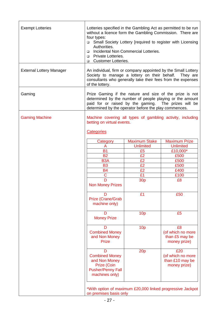| <b>Exempt Lotteries</b>         | Lotteries specified in the Gambling Act as permitted to be run<br>without a licence form the Gambling Commission. There are<br>four types:<br>Small Society Lottery [required to register with Licensing<br>$\Box$<br>Authorities.<br>Incidental Non Commercial Lotteries.<br>$\Box$<br><b>Private Lotteries.</b><br>$\Box$<br><b>Q</b> Customer Lotteries. |                      |                                                           |  |
|---------------------------------|-------------------------------------------------------------------------------------------------------------------------------------------------------------------------------------------------------------------------------------------------------------------------------------------------------------------------------------------------------------|----------------------|-----------------------------------------------------------|--|
| <b>External Lottery Manager</b> | An individual, firm or company appointed by the Small Lottery<br>Society to manage a lottery on their behalf.<br>They are<br>consultants who generally take their fees from the expenses<br>of the lottery.                                                                                                                                                 |                      |                                                           |  |
| Gaming                          | Prize Gaming if the nature and size of the prize is not<br>determined by the number of people playing or the amount<br>paid for or raised by the gaming. The prizes will be<br>determined by the operator before the play commences.                                                                                                                        |                      |                                                           |  |
| <b>Gaming Machine</b>           | Machine covering all types of gambling activity, including<br>betting on virtual events.<br><b>Categories</b>                                                                                                                                                                                                                                               |                      |                                                           |  |
|                                 | Category                                                                                                                                                                                                                                                                                                                                                    | <b>Maximum Stake</b> | <b>Maximum Prize</b>                                      |  |
|                                 | A                                                                                                                                                                                                                                                                                                                                                           | <b>Unlimited</b>     | <b>Unlimited</b>                                          |  |
|                                 | <b>B1</b>                                                                                                                                                                                                                                                                                                                                                   | £5                   | £10,000*                                                  |  |
|                                 | <b>B2</b>                                                                                                                                                                                                                                                                                                                                                   | £2                   | £500                                                      |  |
|                                 | B <sub>3</sub> A                                                                                                                                                                                                                                                                                                                                            | £2                   | £500                                                      |  |
|                                 | <b>B3</b>                                                                                                                                                                                                                                                                                                                                                   | £2                   | £500                                                      |  |
|                                 |                                                                                                                                                                                                                                                                                                                                                             | £2                   |                                                           |  |
|                                 | <b>B4</b><br>C                                                                                                                                                                                                                                                                                                                                              | £1                   | £400                                                      |  |
|                                 | D                                                                                                                                                                                                                                                                                                                                                           |                      | £100                                                      |  |
|                                 | <b>30p</b><br><b>Non Money Prizes</b>                                                                                                                                                                                                                                                                                                                       |                      | £8                                                        |  |
|                                 | נו<br>Prize (Crane/Grab<br>machine only)                                                                                                                                                                                                                                                                                                                    | £1                   | £50                                                       |  |
|                                 | D<br><b>Money Prize</b>                                                                                                                                                                                                                                                                                                                                     | 10 <sub>p</sub>      | £5                                                        |  |
|                                 | D<br><b>Combined Money</b><br>and Non Money<br><b>Prize</b>                                                                                                                                                                                                                                                                                                 | 10 <sub>p</sub>      | £8<br>(of which no more<br>than £5 may be<br>money prize) |  |
|                                 | 20p<br>£20<br>D<br>(of which no more<br><b>Combined Money</b><br>and Non Money<br>than £10 may be<br>Prize (Coin<br>money prize)<br><b>Pusher/Penny Fall</b><br>machines only)                                                                                                                                                                              |                      |                                                           |  |
|                                 | *With option of maximum £20,000 linked progressive Jackpot<br>on premises basis only                                                                                                                                                                                                                                                                        |                      |                                                           |  |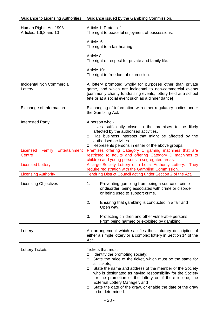| <b>Guidance to Licensing Authorities</b>        | Guidance issued by the Gambling Commission.                                                                                                                                                                                                                                                                                                                                                                                                                                      |  |  |  |
|-------------------------------------------------|----------------------------------------------------------------------------------------------------------------------------------------------------------------------------------------------------------------------------------------------------------------------------------------------------------------------------------------------------------------------------------------------------------------------------------------------------------------------------------|--|--|--|
| Human Rights Act 1998<br>Articles: 1,6,8 and 10 | Article 1: Protocol 1<br>The right to peaceful enjoyment of possessions.                                                                                                                                                                                                                                                                                                                                                                                                         |  |  |  |
|                                                 | Article 6:<br>The right to a fair hearing.                                                                                                                                                                                                                                                                                                                                                                                                                                       |  |  |  |
|                                                 | Article 8:<br>The right of respect for private and family life.                                                                                                                                                                                                                                                                                                                                                                                                                  |  |  |  |
|                                                 | Article 10:<br>The right to freedom of expression.                                                                                                                                                                                                                                                                                                                                                                                                                               |  |  |  |
| Incidental Non Commercial<br>Lottery            | A lottery promoted wholly for purposes other than private<br>game, and which are incidental to non-commercial events<br>[commonly charity fundraising events, lottery held at a school<br>fete or at a social event such as a dinner dance]                                                                                                                                                                                                                                      |  |  |  |
| Exchange of Information                         | Exchanging of information with other regulatory bodies under<br>the Gambling Act.                                                                                                                                                                                                                                                                                                                                                                                                |  |  |  |
| <b>Interested Party</b>                         | A person who:-<br>□ Lives sufficiently close to the premises to be likely<br>affected by the authorised activities.<br>Has business interests that might be affected by the<br>$\Box$<br>authorised activities.<br>Represents persons in either of the above groups.<br>$\Box$                                                                                                                                                                                                   |  |  |  |
| Licensed Family Entertainment<br>Centre         | Premises offering Category C gaming machines that are<br>restricted to adults and offering Category D machines to<br>children and young persons in segregated areas.                                                                                                                                                                                                                                                                                                             |  |  |  |
| <b>Licensed Lottery</b>                         | A large Society Lottery or a Local Authority Lottery.<br>They<br>require registration with the Gambling Commission.                                                                                                                                                                                                                                                                                                                                                              |  |  |  |
| <b>Licensing Authority</b>                      | Tendring District Council acting under Section 2 of the Act.                                                                                                                                                                                                                                                                                                                                                                                                                     |  |  |  |
| <b>Licensing Objectives</b>                     | 1.<br>Preventing gambling from being a source of crime<br>or disorder, being associated with crime or disorder<br>or being used to support crime.                                                                                                                                                                                                                                                                                                                                |  |  |  |
|                                                 | 2.<br>Ensuring that gambling is conducted in a fair and<br>Open way.                                                                                                                                                                                                                                                                                                                                                                                                             |  |  |  |
|                                                 | 3.<br>Protecting children and other vulnerable persons<br>From being harmed or exploited by gambling.                                                                                                                                                                                                                                                                                                                                                                            |  |  |  |
| Lottery                                         | An arrangement which satisfies the statutory description of<br>either a simple lottery or a complex lottery in Section 14 of the<br>Act.                                                                                                                                                                                                                                                                                                                                         |  |  |  |
| <b>Lottery Tickets</b>                          | Tickets that must:-<br>Identify the promoting society;<br>$\Box$<br>State the price of the ticket, which must be the same for<br>$\Box$<br>all tickets;<br>State the name and address of the member of the Society<br>□<br>who is designated as having responsibility for the Society<br>for the promotion of the lottery or, if there is one, the<br>External Lottery Manager, and<br>State the date of the draw, or enable the date of the draw<br>$\Box$<br>to be determined. |  |  |  |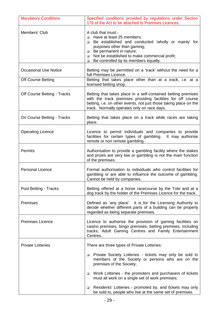| <b>Mandatory Conditions</b>        | Specified conditions provided by regulations under Section<br>176 of the Act to be attached to Premises Licences.                                                                                                                                                                             |  |  |  |
|------------------------------------|-----------------------------------------------------------------------------------------------------------------------------------------------------------------------------------------------------------------------------------------------------------------------------------------------|--|--|--|
| Members' Club                      | A club that must:-<br>Have at least 25 members;<br>$\Box$<br>Be established and conducted 'wholly or mainly' for<br>□<br>purposes other than gaming;<br>Be permanent in nature;<br>❏<br>Not be established to make commercial profit;<br>$\Box$<br>Be controlled by its members equally.<br>□ |  |  |  |
| <b>Occasional Use Notice</b>       | Betting may be permitted on a 'track' without the need for a<br>full Premises Licence.                                                                                                                                                                                                        |  |  |  |
| <b>Off Course Betting</b>          | Betting that takes place other than at a track, i.e. at a<br>licensed betting shop.                                                                                                                                                                                                           |  |  |  |
| <b>Off Course Betting - Tracks</b> | Betting that takes place in a self-contained betting premises<br>with the track premises providing facilities for off course<br>betting, i.e. on other events, not just those taking place on the<br>track. Normally operates only on race days.                                              |  |  |  |
| On Course Betting - Tracks         | Betting that takes place on a track while races are taking<br>place.                                                                                                                                                                                                                          |  |  |  |
| <b>Operating Licence</b>           | Licence to permit individuals and companies to provide<br>facilities for certain types of gambling. It may authorise<br>remote or non remote gambling.                                                                                                                                        |  |  |  |
| <b>Permits</b>                     | Authorisation to provide a gambling facility where the stakes<br>and prizes are very low or gambling is not the main function<br>of the premises.                                                                                                                                             |  |  |  |
| <b>Personal Licence</b>            | Formal authorisation to individuals who control facilities for<br>gambling or are able to influence the outcome of gambling.<br>Cannot be held by companies.                                                                                                                                  |  |  |  |
| Pool Betting - Tracks              | Betting offered at a horse racecourse by the Tote and at a<br>dog track by the holder of the Premises Licence for the track.                                                                                                                                                                  |  |  |  |
| Premises                           | Defined as 'any place'. It is for the Licensing Authority to<br>decide whether different parts of a building can be properly<br>regarded as being separate premises.                                                                                                                          |  |  |  |
| <b>Premises Licence</b>            | Licence to authorise the provision of gaming facilities on<br>casino premises, bingo premises, betting premises, including<br>tracks, Adult Gaming Centres and Family Entertainment<br>Centres.                                                                                               |  |  |  |
| <b>Private Lotteries</b>           | There are three types of Private Lotteries:                                                                                                                                                                                                                                                   |  |  |  |
|                                    | Private Society Lotteries - tickets may only be sold to<br>$\Box$<br>members of the Society or persons who are on the<br>premises of the Society;                                                                                                                                             |  |  |  |
|                                    | Work Lotteries - the promoters and purchasers of tickets<br>$\Box$<br>must all work on a single set of work premises;                                                                                                                                                                         |  |  |  |
|                                    | Residents' Lotteries - promoted by, and tickets may only<br>$\Box$<br>be sold to, people who live at the same set of premises.                                                                                                                                                                |  |  |  |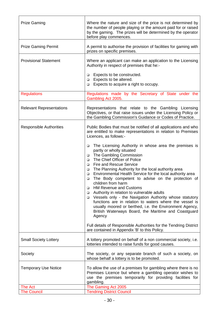| <b>Prize Gaming</b>             | Where the nature and size of the price is not determined by<br>the number of people playing or the amount paid for or raised<br>by the gaming. The prizes will be determined by the operator<br>before play commences.                                                                                            |  |
|---------------------------------|-------------------------------------------------------------------------------------------------------------------------------------------------------------------------------------------------------------------------------------------------------------------------------------------------------------------|--|
| <b>Prize Gaming Permit</b>      | A permit to authorise the provision of facilities for gaming with<br>prizes on specific premises.                                                                                                                                                                                                                 |  |
| <b>Provisional Statement</b>    | Where an applicant can make an application to the Licensing<br>Authority in respect of premises that he:-                                                                                                                                                                                                         |  |
|                                 | Expects to be constructed.<br>$\Box$<br>Expects to be altered.<br>$\Box$<br>Expects to acquire a right to occupy.<br>□                                                                                                                                                                                            |  |
| <b>Regulations</b>              | Regulations made by the Secretary of State under the<br>Gambling Act 2005.                                                                                                                                                                                                                                        |  |
| <b>Relevant Representations</b> | Representations that relate to the Gambling Licensing<br>Objectives, or that raise issues under the Licensing Policy or<br>the Gambling Commission's Guidance or Codes of Practice.                                                                                                                               |  |
| <b>Responsible Authorities</b>  | Public Bodies that must be notified of all applications and who<br>are entitled to make representations in relation to Premises<br>Licences, as follows:-                                                                                                                                                         |  |
|                                 | The Licensing Authority in whose area the premises is<br>$\Box$<br>partly or wholly situated<br>The Gambling Commission<br>$\Box$<br>The Chief Officer of Police<br>$\Box$<br><b>Fire and Rescue Service</b><br>□                                                                                                 |  |
|                                 | The Planning Authority for the local authority area<br>$\Box$<br>Environmental Health Service for the local authority area<br>$\Box$<br>The Body competent to advise on the protection of<br>$\Box$<br>children from harm<br><b>HM Revenue and Customs</b><br>□                                                   |  |
|                                 | Authority in relation to vulnerable adults<br>$\Box$<br>Vessels only - the Navigation Authority whose statutory<br>$\Box$<br>functions are in relation to waters where the vessel is<br>usually moored or berthed, i.e. the Environment Agency,<br>British Waterways Board, the Maritime and Coastguard<br>Agency |  |
|                                 | Full details of Responsible Authorities for the Tendring District<br>are contained in Appendix 'B' to this Policy.                                                                                                                                                                                                |  |
| <b>Small Society Lottery</b>    | A lottery promoted on behalf of a non commercial society, i.e.<br>lotteries intended to raise funds for good causes.                                                                                                                                                                                              |  |
| Society                         | The society, or any separate branch of such a society, on<br>whose behalf a lottery is to be promoted.                                                                                                                                                                                                            |  |
| <b>Temporary Use Notice</b>     | To allow the use of a premises for gambling where there is no<br>Premises Licence but where a gambling operator wishes to<br>use the premises temporarily for providing facilities for<br>gambling.                                                                                                               |  |
| The Act                         | The Gaming Act 2005                                                                                                                                                                                                                                                                                               |  |
| <b>The Council</b>              | <b>Tendring District Council</b>                                                                                                                                                                                                                                                                                  |  |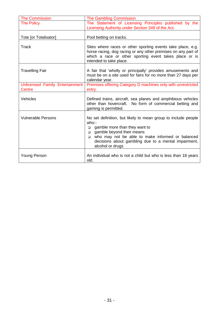| <b>The Commission</b>                     | The Gambling Commission                                                                                                                                                                                                                                                                           |  |  |  |
|-------------------------------------------|---------------------------------------------------------------------------------------------------------------------------------------------------------------------------------------------------------------------------------------------------------------------------------------------------|--|--|--|
| <b>The Policy</b>                         | The Statement of Licensing Principles published by the<br>Licensing Authority under Section 349 of the Act.                                                                                                                                                                                       |  |  |  |
| Tote [or Totalisator]                     | Pool betting on tracks.                                                                                                                                                                                                                                                                           |  |  |  |
| <b>Track</b>                              | Sites where races or other sporting events take place, e.g.<br>horse racing, dog racing or any other premises on any part of<br>which a race or other sporting event takes place or is<br>intended to take place.                                                                                 |  |  |  |
| <b>Travelling Fair</b>                    | A fair that 'wholly or principally' provides amusements and<br>must be on a site used for fairs for no more than 27 days per<br>calendar year.                                                                                                                                                    |  |  |  |
| Unlicensed Family Entertainment<br>Centre | Premises offering Category D machines only with unrestricted<br>entry.                                                                                                                                                                                                                            |  |  |  |
| Vehicles                                  | Defined trains, aircraft, sea planes and amphibious vehicles<br>other than hovercraft. No form of commercial betting and<br>gaming is permitted.                                                                                                                                                  |  |  |  |
| <b>Vulnerable Persons</b>                 | No set definition, but likely to mean group to include people<br>who:<br>gamble more than they want to<br>$\Box$<br>gamble beyond their means<br>$\Box$<br>who may not be able to make informed or balanced<br>$\Box$<br>decisions about gambling due to a mental impairment,<br>alcohol or drugs |  |  |  |
| <b>Young Person</b>                       | An individual who is not a child but who is less than 18 years<br>old.                                                                                                                                                                                                                            |  |  |  |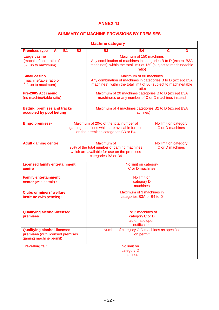# **ANNEX 'D'**

### **SUMMARY OF MACHINE PROVISIONS BY PREMISES**

| <b>Machine category</b>                                                                          |           |                                                                                                                                |                                                                                                                                                                         |    |                                         |   |
|--------------------------------------------------------------------------------------------------|-----------|--------------------------------------------------------------------------------------------------------------------------------|-------------------------------------------------------------------------------------------------------------------------------------------------------------------------|----|-----------------------------------------|---|
| <b>Premises type</b><br>A                                                                        | <b>B1</b> | <b>B2</b>                                                                                                                      | <b>B3</b>                                                                                                                                                               | Β4 | C                                       | D |
| Large casino<br>(machine/table ratio of<br>5-1 up to maximum)                                    |           |                                                                                                                                | Maximum of 150 machines<br>Any combination of machines in categories B to D (except B3A<br>machines), within the total limit of 150 (subject to machine/table<br>ratio) |    |                                         |   |
| <b>Small casino</b><br>(machine/table ratio of<br>2-1 up to maximum)                             |           |                                                                                                                                | Maximum of 80 machines<br>Any combination of machines in categories B to D (except B3A<br>machines), within the total limit of 80 (subject to machine/table<br>ratio)   |    |                                         |   |
| Pre-2005 Act casino<br>(no machine/table ratio)                                                  |           |                                                                                                                                | Maximum of 20 machines categories B to D (except B3A<br>machines), or any number of C or D machines instead                                                             |    |                                         |   |
| <b>Betting premises and tracks</b><br>occupied by pool betting                                   |           |                                                                                                                                | Maximum of 4 machines categories B2 to D (except B3A<br>machines)                                                                                                       |    |                                         |   |
| Bingo premises <sup>1</sup>                                                                      |           |                                                                                                                                | Maximum of 20% of the total number of<br>No limit on category<br>C or D machines<br>gaming machines which are available for use<br>on the premises categories B3 or B4  |    |                                         |   |
| Adult gaming centre <sup>2</sup>                                                                 |           | Maximum of<br>20% of the total number of gaming machines<br>which are available for use on the premises<br>categories B3 or B4 |                                                                                                                                                                         |    | No limit on category<br>C or D machines |   |
| <b>Licensed family entertainment</b><br>centre <sup>3</sup>                                      |           |                                                                                                                                | No limit on category<br>C or D machines                                                                                                                                 |    |                                         |   |
| <b>Family entertainment</b><br>center (with permit) 3                                            |           |                                                                                                                                | No limit on<br>category D<br>machines                                                                                                                                   |    |                                         |   |
| <b>Clubs or miners' welfare</b><br>institute (with permits) 4                                    |           |                                                                                                                                | Maximum of 3 machines in<br>categories B3A or B4 to D                                                                                                                   |    |                                         |   |
| <b>Qualifying alcohol-licensed</b><br>premises                                                   |           |                                                                                                                                | 1 or 2 machines of<br>category C or D<br>automatic upon<br>notification                                                                                                 |    |                                         |   |
| <b>Qualifying alcohol-licensed</b><br>premises (with licensed premises<br>gaming machine permit) |           |                                                                                                                                | Number of category C-D machines as specified<br>on permit                                                                                                               |    |                                         |   |
| <b>Travelling fair</b>                                                                           |           |                                                                                                                                | No limit on<br>category D<br>machines                                                                                                                                   |    |                                         |   |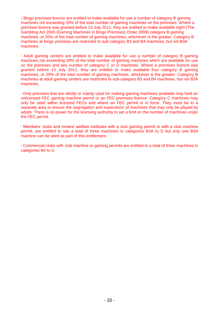<sup>1</sup> Bingo premises licence are entitled to make available for use a number of category B gaming machines not exceeding 20% of the total number of gaming machines on the premises. Where a premises licence was granted before 13 July 2011, they are entitled to make available eight (The Gambling Act 2005 (Gaming Machines in Bingo Premises) Order 2009) category B gaming machines, or 20% of the total number of gaming machines, whichever is the greater. Category B machines at bingo premises are restricted to sub-category B3 and B4 machines, but not B3A machines.

<sup>2</sup> Adult gaming centers are entitled to make available for use a number of category B gaming machines not exceeding 20% of the total number of gaming machines which are available for use on the premises and any number of category C or D machines. Where a premises licence was granted before 13 July 2011, they are entitled to make available four category B gaming machines, or 20% of the total number of gaming machines, whichever is the greater. Category B machines at adult gaming centers are restricted to sub-category B3 and B4 machines, but not B3A machines.

<sup>3</sup> Only premises that are wholly or mainly used for making gaming machines available may hold an unlicensed FEC gaming machine permit or an FEC premises licence. Category C machines may only be sited within licensed FECs and where an FEC permit is in force. They must be in a separate area to ensure the segregation and supervision of machines that may only be played by adults. There is no power for the licensing authority to set a limit on the number of machines under the FEC permit.

<sup>4</sup> Members' clubs and miners' welfare institutes with a club gaming permit or with a club machine permit, are entitled to site a total of three machines in categories B3A to D but only one B3A machine can be sited as part of this entitlement.

<sup>5</sup> Commercial clubs with club machine or gaming permits are entitled to a total of three machines in categories B4 to D.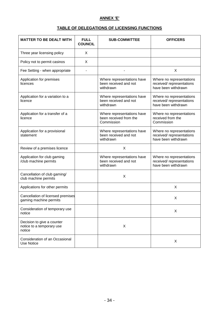#### **ANNEX 'E'**

# **TABLE OF DELEGATIONS OF LICENSING FUNCTIONS**

| <b>MATTER TO BE DEALT WITH</b>                                    | <b>FULL</b><br><b>COUNCIL</b> | <b>SUB-COMMITTEE</b>                                               | <b>OFFICERS</b>                                                              |
|-------------------------------------------------------------------|-------------------------------|--------------------------------------------------------------------|------------------------------------------------------------------------------|
| Three year licensing policy                                       | X                             |                                                                    |                                                                              |
| Policy not to permit casinos                                      | X                             |                                                                    |                                                                              |
| Fee Setting - when appropriate                                    |                               |                                                                    | X                                                                            |
| Application for premises<br>licences                              |                               | Where representations have<br>been received and not<br>withdrawn   | Where no representations<br>received/ representations<br>have been withdrawn |
| Application for a variation to a<br>licence                       |                               | Where representations have<br>been received and not<br>withdrawn   | Where no representations<br>received/ representations<br>have been withdrawn |
| Application for a transfer of a<br>licence                        |                               | Where representations have<br>been received from the<br>Commission | Where no representations<br>received from the<br>Commission                  |
| Application for a provisional<br>statement                        |                               | Where representations have<br>been received and not<br>withdrawn   | Where no representations<br>received/ representations<br>have been withdrawn |
| Review of a premises licence                                      |                               | X                                                                  |                                                                              |
| Application for club gaming<br>/club machine permits              |                               | Where representations have<br>been received and not<br>withdrawn   | Where no representations<br>received/ representations<br>have been withdrawn |
| Cancellation of club gaming/<br>club machine permits              |                               | X                                                                  |                                                                              |
| Applications for other permits                                    |                               |                                                                    | X                                                                            |
| Cancellation of licensed premises<br>gaming machine permits       |                               |                                                                    | Χ                                                                            |
| Consideration of temporary use<br>notice                          |                               |                                                                    | X                                                                            |
| Decision to give a counter<br>notice to a temporary use<br>notice |                               | X                                                                  |                                                                              |
| Consideration of an Occasional<br><b>Use Notice</b>               |                               |                                                                    | X                                                                            |